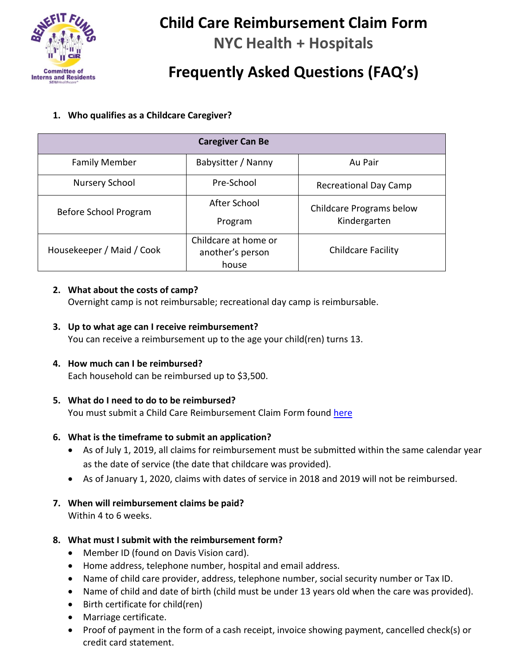

# **Child Care Reimbursement Claim Form**

**NYC Health + Hospitals**

# **Frequently Asked Questions (FAQ's)**

# **1. Who qualifies as a Childcare Caregiver?**

| <b>Caregiver Can Be</b>   |                                                   |                                          |
|---------------------------|---------------------------------------------------|------------------------------------------|
| <b>Family Member</b>      | Babysitter / Nanny                                | Au Pair                                  |
| Nursery School            | Pre-School                                        | <b>Recreational Day Camp</b>             |
| Before School Program     | After School<br>Program                           | Childcare Programs below<br>Kindergarten |
| Housekeeper / Maid / Cook | Childcare at home or<br>another's person<br>house | <b>Childcare Facility</b>                |

#### **2. What about the costs of camp?**

Overnight camp is not reimbursable; recreational day camp is reimbursable.

#### **3. Up to what age can I receive reimbursement?**

You can receive a reimbursement up to the age your child(ren) turns 13.

# **4. How much can I be reimbursed?**

Each household can be reimbursed up to \$3,500.

# **5. What do I need to do to be reimbursed?**

You must submit a Child Care Reimbursement Claim Form found [here](https://secure.na1.echosign.com/public/esignWidget?wid=CBFCIBAA3AAABLblqZhBYmaNeu9EdXEDCxF1mOK9czDd3rKnzgWj8PrrQWbs_0TOwC9iX_PJw_6WzGw2iX0k*)

# **6. What is the timeframe to submit an application?**

- As of July 1, 2019, all claims for reimbursement must be submitted within the same calendar year as the date of service (the date that childcare was provided).
- As of January 1, 2020, claims with dates of service in 2018 and 2019 will not be reimbursed.

# **7. When will reimbursement claims be paid?**

Within 4 to 6 weeks.

# **8. What must I submit with the reimbursement form?**

- Member ID (found on Davis Vision card).
- Home address, telephone number, hospital and email address.
- Name of child care provider, address, telephone number, social security number or Tax ID.
- Name of child and date of birth (child must be under 13 years old when the care was provided).
- Birth certificate for child(ren)
- Marriage certificate.
- Proof of payment in the form of a cash receipt, invoice showing payment, cancelled check(s) or credit card statement.